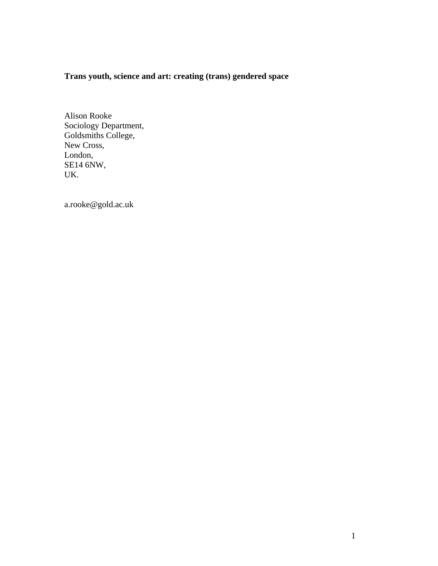# **Trans youth, science and art: creating (trans) gendered space**

Alison Rooke Sociology Department, Goldsmiths College, New Cross, London, SE14 6NW, UK.

a.rooke@gold.ac.uk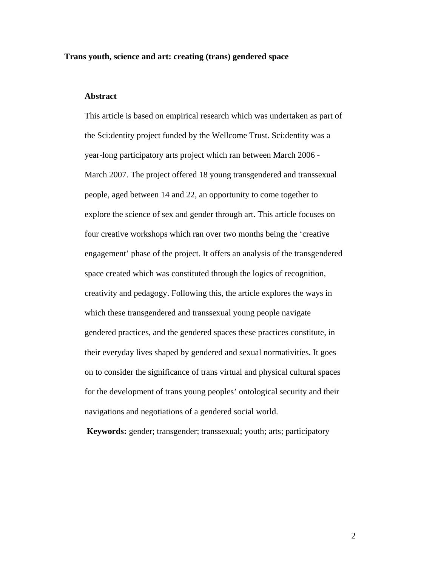#### **Trans youth, science and art: creating (trans) gendered space**

## **Abstract**

This article is based on empirical research which was undertaken as part of the Sci:dentity project funded by the Wellcome Trust. Sci:dentity was a year-long participatory arts project which ran between March 2006 - March 2007. The project offered 18 young transgendered and transsexual people, aged between 14 and 22, an opportunity to come together to explore the science of sex and gender through art. This article focuses on four creative workshops which ran over two months being the 'creative engagement' phase of the project. It offers an analysis of the transgendered space created which was constituted through the logics of recognition, creativity and pedagogy. Following this, the article explores the ways in which these transgendered and transsexual young people navigate gendered practices, and the gendered spaces these practices constitute, in their everyday lives shaped by gendered and sexual normativities. It goes on to consider the significance of trans virtual and physical cultural spaces for the development of trans young peoples' ontological security and their navigations and negotiations of a gendered social world.

 **Keywords:** gender; transgender; transsexual; youth; arts; participatory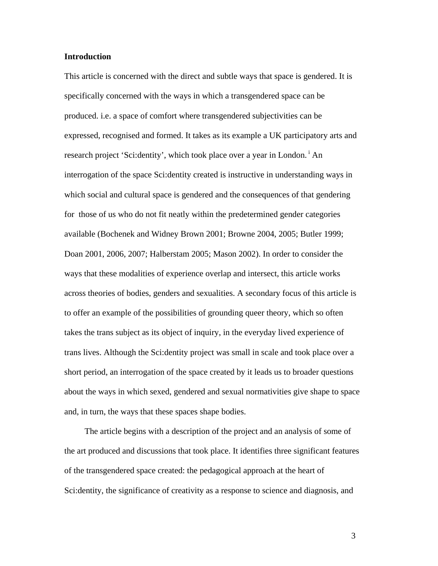#### **Introduction**

This article is concerned with the direct and subtle ways that space is gendered. It is specifically concerned with the ways in which a transgendered space can be produced. i.e. a space of comfort where transgendered subjectivities can be expressed, recognised and formed. It takes as its example a UK participatory arts and research project 'Sci:dentity', which took place over a year in London.<sup>i</sup> An interrogation of the space Sci:dentity created is instructive in understanding ways in which social and cultural space is gendered and the consequences of that gendering for those of us who do not fit neatly within the predetermined gender categories available (Bochenek and Widney Brown 2001; Browne 2004, 2005; Butler 1999; Doan 2001, 2006, 2007; Halberstam 2005; Mason 2002). In order to consider the ways that these modalities of experience overlap and intersect, this article works across theories of bodies, genders and sexualities. A secondary focus of this article is to offer an example of the possibilities of grounding queer theory, which so often takes the trans subject as its object of inquiry, in the everyday lived experience of trans lives. Although the Sci:dentity project was small in scale and took place over a short period, an interrogation of the space created by it leads us to broader questions about the ways in which sexed, gendered and sexual normativities give shape to space and, in turn, the ways that these spaces shape bodies.

The article begins with a description of the project and an analysis of some of the art produced and discussions that took place. It identifies three significant features of the transgendered space created: the pedagogical approach at the heart of Sci:dentity, the significance of creativity as a response to science and diagnosis, and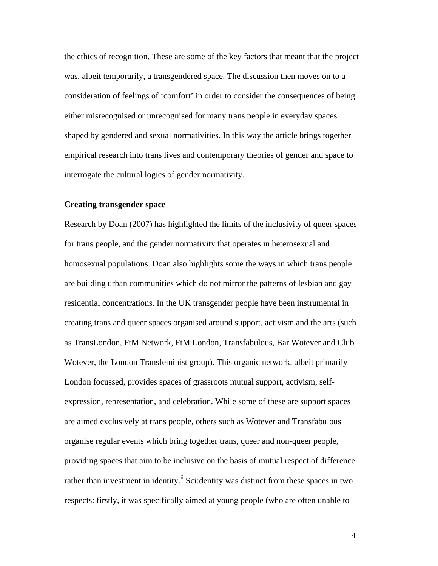the ethics of recognition. These are some of the key factors that meant that the project was, albeit temporarily, a transgendered space. The discussion then moves on to a consideration of feelings of 'comfort' in order to consider the consequences of being either misrecognised or unrecognised for many trans people in everyday spaces shaped by gendered and sexual normativities. In this way the article brings together empirical research into trans lives and contemporary theories of gender and space to interrogate the cultural logics of gender normativity.

## **Creating transgender space**

Research by Doan (2007) has highlighted the limits of the inclusivity of queer spaces for trans people, and the gender normativity that operates in heterosexual and homosexual populations. Doan also highlights some the ways in which trans people are building urban communities which do not mirror the patterns of lesbian and gay residential concentrations. In the UK transgender people have been instrumental in creating trans and queer spaces organised around support, activism and the arts (such as TransLondon, FtM Network, FtM London, Transfabulous, Bar Wotever and Club Wotever, the London Transfeminist group). This organic network, albeit primarily London focussed, provides spaces of grassroots mutual support, activism, selfexpression, representation, and celebration. While some of these are support spaces are aimed exclusively at trans people, others such as Wotever and Transfabulous organise regular events which bring together trans, queer and non-queer people, providing spaces that aim to be inclusive on the basis of mutual respect of difference rather than investment in identity.<sup>ii</sup> Sci:dentity was distinct from these spaces in two respects: firstly, it was specifically aimed at young people (who are often unable to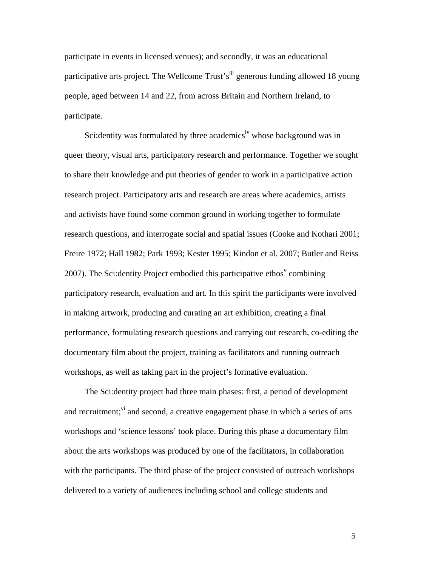participate in events in licensed venues); and secondly, it was an educational participative arts project. The Wellcome Trust's<sup>iii</sup> generous funding allowed 18 young people, aged between 14 and 22, from across Britain and Northern Ireland, to participate.

Sci: dentity was formulated by three academics<sup>iv</sup> whose background was in queer theory, visual arts, participatory research and performance. Together we sought to share their knowledge and put theories of gender to work in a participative action research project. Participatory arts and research are areas where academics, artists and activists have found some common ground in working together to formulate research questions, and interrogate social and spatial issues (Cooke and Kothari 2001; Freire 1972; Hall 1982; Park 1993; Kester 1995; Kindon et al. 2007; Butler and Reiss 2007). The Sci: dentity Project embodied this participative ethos $v$  combining participatory research, evaluation and art. In this spirit the participants were involved in making artwork, producing and curating an art exhibition, creating a final performance, formulating research questions and carrying out research, co-editing the documentary film about the project, training as facilitators and running outreach workshops, as well as taking part in the project's formative evaluation.

The Sci:dentity project had three main phases: first, a period of development and recruitment;  $\alpha$ <sup>vi</sup> and second, a creative engagement phase in which a series of arts workshops and 'science lessons' took place. During this phase a documentary film about the arts workshops was produced by one of the facilitators, in collaboration with the participants. The third phase of the project consisted of outreach workshops delivered to a variety of audiences including school and college students and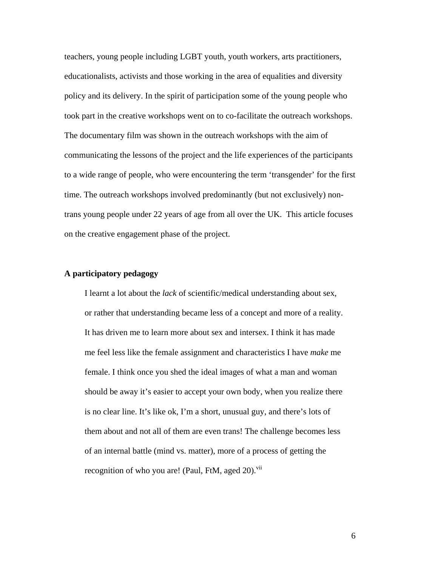teachers, young people including LGBT youth, youth workers, arts practitioners, educationalists, activists and those working in the area of equalities and diversity policy and its delivery. In the spirit of participation some of the young people who took part in the creative workshops went on to co-facilitate the outreach workshops. The documentary film was shown in the outreach workshops with the aim of communicating the lessons of the project and the life experiences of the participants to a wide range of people, who were encountering the term 'transgender' for the first time. The outreach workshops involved predominantly (but not exclusively) nontrans young people under 22 years of age from all over the UK. This article focuses on the creative engagement phase of the project.

#### **A participatory pedagogy**

I learnt a lot about the *lack* of scientific/medical understanding about sex, or rather that understanding became less of a concept and more of a reality. It has driven me to learn more about sex and intersex. I think it has made me feel less like the female assignment and characteristics I have *make* me female. I think once you shed the ideal images of what a man and woman should be away it's easier to accept your own body, when you realize there is no clear line. It's like ok, I'm a short, unusual guy, and there's lots of them about and not all of them are even trans! The challenge becomes less of an internal battle (mind vs. matter), more of a process of getting the recognition of who you are! (Paul, FtM, aged  $20$ ).  $\frac{V}{I}$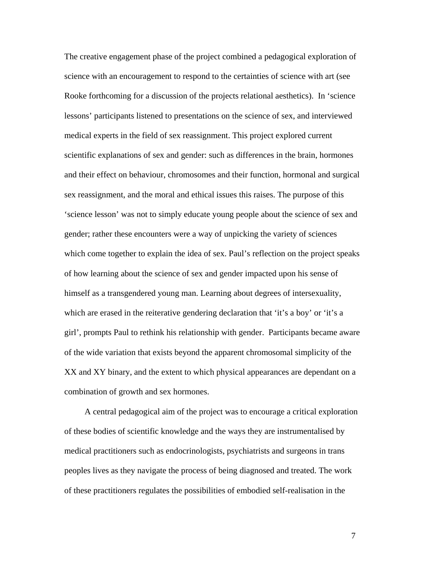The creative engagement phase of the project combined a pedagogical exploration of science with an encouragement to respond to the certainties of science with art (see Rooke forthcoming for a discussion of the projects relational aesthetics). In 'science lessons' participants listened to presentations on the science of sex, and interviewed medical experts in the field of sex reassignment. This project explored current scientific explanations of sex and gender: such as differences in the brain, hormones and their effect on behaviour, chromosomes and their function, hormonal and surgical sex reassignment, and the moral and ethical issues this raises. The purpose of this 'science lesson' was not to simply educate young people about the science of sex and gender; rather these encounters were a way of unpicking the variety of sciences which come together to explain the idea of sex. Paul's reflection on the project speaks of how learning about the science of sex and gender impacted upon his sense of himself as a transgendered young man. Learning about degrees of intersexuality, which are erased in the reiterative gendering declaration that 'it's a boy' or 'it's a girl', prompts Paul to rethink his relationship with gender. Participants became aware of the wide variation that exists beyond the apparent chromosomal simplicity of the XX and XY binary, and the extent to which physical appearances are dependant on a combination of growth and sex hormones.

A central pedagogical aim of the project was to encourage a critical exploration of these bodies of scientific knowledge and the ways they are instrumentalised by medical practitioners such as endocrinologists, psychiatrists and surgeons in trans peoples lives as they navigate the process of being diagnosed and treated. The work of these practitioners regulates the possibilities of embodied self-realisation in the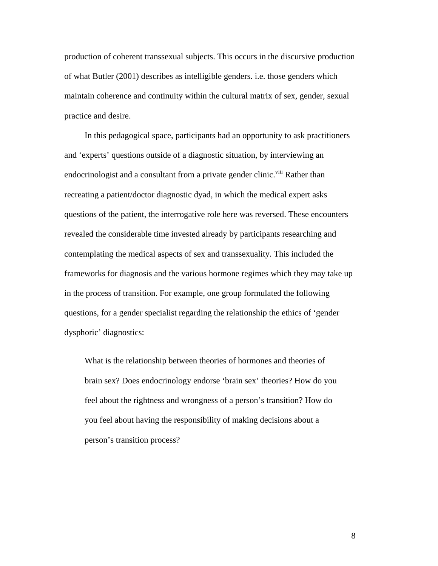production of coherent transsexual subjects. This occurs in the discursive production of what Butler (2001) describes as intelligible genders. i.e. those genders which maintain coherence and continuity within the cultural matrix of sex, gender, sexual practice and desire.

In this pedagogical space, participants had an opportunity to ask practitioners and 'experts' questions outside of a diagnostic situation, by interviewing an endocrinologist and a consultant from a private gender clinic.<sup>viii</sup> Rather than recreating a patient/doctor diagnostic dyad, in which the medical expert asks questions of the patient, the interrogative role here was reversed. These encounters revealed the considerable time invested already by participants researching and contemplating the medical aspects of sex and transsexuality. This included the frameworks for diagnosis and the various hormone regimes which they may take up in the process of transition. For example, one group formulated the following questions, for a gender specialist regarding the relationship the ethics of 'gender dysphoric' diagnostics:

What is the relationship between theories of hormones and theories of brain sex? Does endocrinology endorse 'brain sex' theories? How do you feel about the rightness and wrongness of a person's transition? How do you feel about having the responsibility of making decisions about a person's transition process?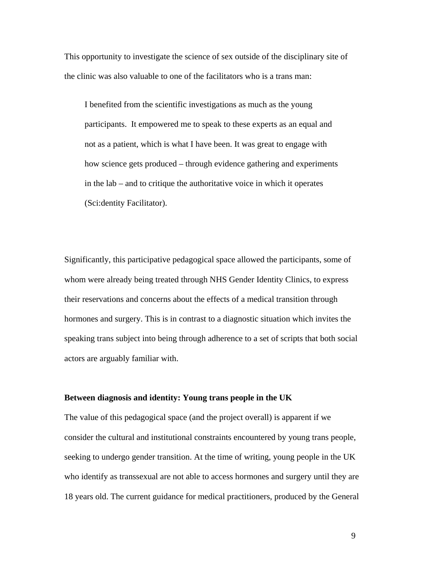This opportunity to investigate the science of sex outside of the disciplinary site of the clinic was also valuable to one of the facilitators who is a trans man:

I benefited from the scientific investigations as much as the young participants. It empowered me to speak to these experts as an equal and not as a patient, which is what I have been. It was great to engage with how science gets produced – through evidence gathering and experiments in the lab – and to critique the authoritative voice in which it operates (Sci:dentity Facilitator).

Significantly, this participative pedagogical space allowed the participants, some of whom were already being treated through NHS Gender Identity Clinics, to express their reservations and concerns about the effects of a medical transition through hormones and surgery. This is in contrast to a diagnostic situation which invites the speaking trans subject into being through adherence to a set of scripts that both social actors are arguably familiar with.

#### **Between diagnosis and identity: Young trans people in the UK**

The value of this pedagogical space (and the project overall) is apparent if we consider the cultural and institutional constraints encountered by young trans people, seeking to undergo gender transition. At the time of writing, young people in the UK who identify as transsexual are not able to access hormones and surgery until they are 18 years old. The current guidance for medical practitioners, produced by the General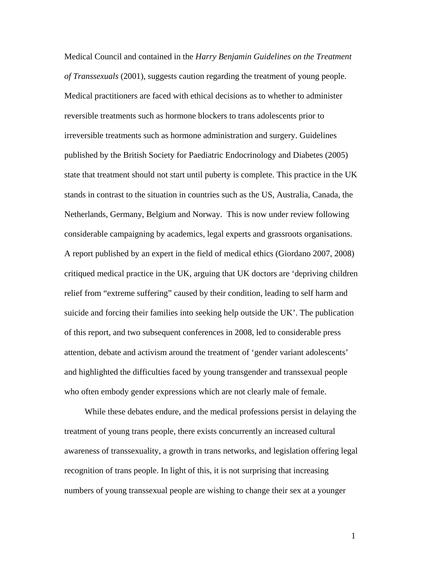Medical Council and contained in the *Harry Benjamin Guidelines on the Treatment of Transsexuals* (2001), suggests caution regarding the treatment of young people. Medical practitioners are faced with ethical decisions as to whether to administer reversible treatments such as hormone blockers to trans adolescents prior to irreversible treatments such as hormone administration and surgery. Guidelines published by the British Society for Paediatric Endocrinology and Diabetes (2005) state that treatment should not start until puberty is complete. This practice in the UK stands in contrast to the situation in countries such as the US, Australia, Canada, the Netherlands, Germany, Belgium and Norway. This is now under review following considerable campaigning by academics, legal experts and grassroots organisations. A report published by an expert in the field of medical ethics (Giordano 2007, 2008) critiqued medical practice in the UK, arguing that UK doctors are 'depriving children relief from "extreme suffering" caused by their condition, leading to self harm and suicide and forcing their families into seeking help outside the UK'. The publication of this report, and two subsequent conferences in 2008, led to considerable press attention, debate and activism around the treatment of 'gender variant adolescents' and highlighted the difficulties faced by young transgender and transsexual people who often embody gender expressions which are not clearly male of female.

While these debates endure, and the medical professions persist in delaying the treatment of young trans people, there exists concurrently an increased cultural awareness of transsexuality, a growth in trans networks, and legislation offering legal recognition of trans people. In light of this, it is not surprising that increasing numbers of young transsexual people are wishing to change their sex at a younger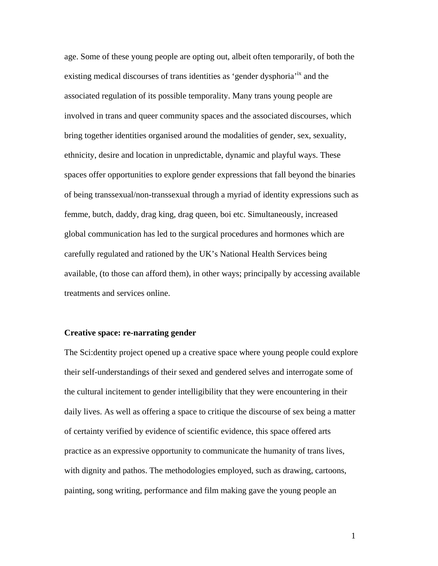age. Some of these young people are opting out, albeit often temporarily, of both the existing medical discourses of trans identities as 'gender dysphoria'<sup>ix</sup> and the associated regulation of its possible temporality. Many trans young people are involved in trans and queer community spaces and the associated discourses, which bring together identities organised around the modalities of gender, sex, sexuality, ethnicity, desire and location in unpredictable, dynamic and playful ways. These spaces offer opportunities to explore gender expressions that fall beyond the binaries of being transsexual/non-transsexual through a myriad of identity expressions such as femme, butch, daddy, drag king, drag queen, boi etc. Simultaneously, increased global communication has led to the surgical procedures and hormones which are carefully regulated and rationed by the UK's National Health Services being available, (to those can afford them), in other ways; principally by accessing available treatments and services online.

## **Creative space: re-narrating gender**

The Sci:dentity project opened up a creative space where young people could explore their self-understandings of their sexed and gendered selves and interrogate some of the cultural incitement to gender intelligibility that they were encountering in their daily lives. As well as offering a space to critique the discourse of sex being a matter of certainty verified by evidence of scientific evidence, this space offered arts practice as an expressive opportunity to communicate the humanity of trans lives, with dignity and pathos. The methodologies employed, such as drawing, cartoons, painting, song writing, performance and film making gave the young people an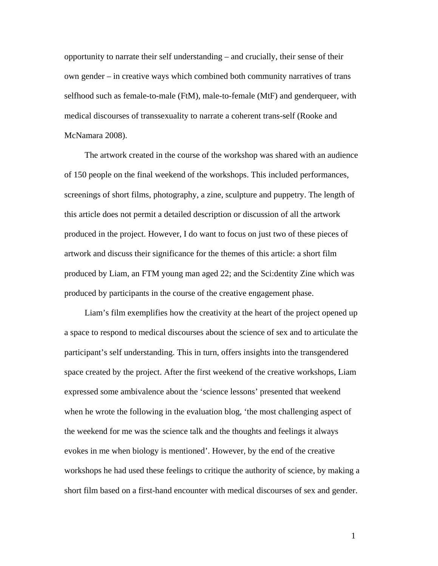opportunity to narrate their self understanding – and crucially, their sense of their own gender – in creative ways which combined both community narratives of trans selfhood such as female-to-male (FtM), male-to-female (MtF) and genderqueer, with medical discourses of transsexuality to narrate a coherent trans-self (Rooke and McNamara 2008).

The artwork created in the course of the workshop was shared with an audience of 150 people on the final weekend of the workshops. This included performances, screenings of short films, photography, a zine, sculpture and puppetry. The length of this article does not permit a detailed description or discussion of all the artwork produced in the project. However, I do want to focus on just two of these pieces of artwork and discuss their significance for the themes of this article: a short film produced by Liam, an FTM young man aged 22; and the Sci:dentity Zine which was produced by participants in the course of the creative engagement phase.

Liam's film exemplifies how the creativity at the heart of the project opened up a space to respond to medical discourses about the science of sex and to articulate the participant's self understanding. This in turn, offers insights into the transgendered space created by the project. After the first weekend of the creative workshops, Liam expressed some ambivalence about the 'science lessons' presented that weekend when he wrote the following in the evaluation blog, 'the most challenging aspect of the weekend for me was the science talk and the thoughts and feelings it always evokes in me when biology is mentioned'. However, by the end of the creative workshops he had used these feelings to critique the authority of science, by making a short film based on a first-hand encounter with medical discourses of sex and gender.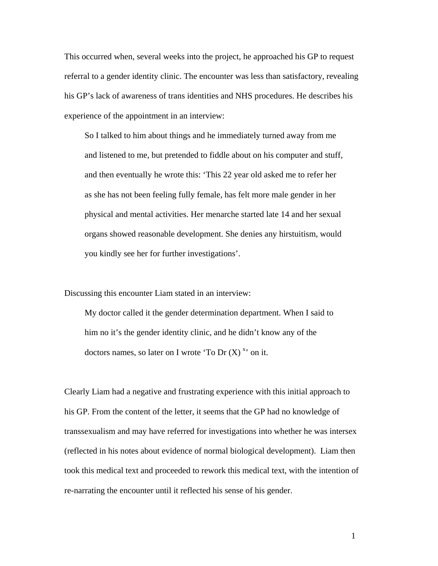This occurred when, several weeks into the project, he approached his GP to request referral to a gender identity clinic. The encounter was less than satisfactory, revealing his GP's lack of awareness of trans identities and NHS procedures. He describes his experience of the appointment in an interview:

So I talked to him about things and he immediately turned away from me and listened to me, but pretended to fiddle about on his computer and stuff, and then eventually he wrote this: 'This 22 year old asked me to refer her as she has not been feeling fully female, has felt more male gender in her physical and mental activities. Her menarche started late 14 and her sexual organs showed reasonable development. She denies any hirstuitism, would you kindly see her for further investigations'.

Discussing this encounter Liam stated in an interview:

My doctor called it the gender determination department. When I said to him no it's the gender identity clinic, and he didn't know any of the doctors names, so later on I wrote 'To Dr  $(X)$ <sup>x</sup>' on it.

Clearly Liam had a negative and frustrating experience with this initial approach to his GP. From the content of the letter, it seems that the GP had no knowledge of transsexualism and may have referred for investigations into whether he was intersex (reflected in his notes about evidence of normal biological development). Liam then took this medical text and proceeded to rework this medical text, with the intention of re-narrating the encounter until it reflected his sense of his gender.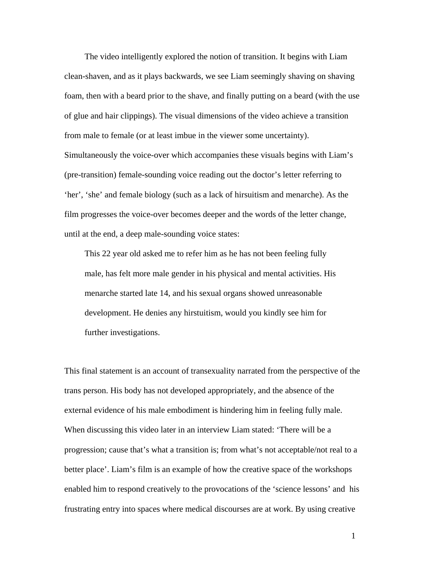The video intelligently explored the notion of transition. It begins with Liam clean-shaven, and as it plays backwards, we see Liam seemingly shaving on shaving foam, then with a beard prior to the shave, and finally putting on a beard (with the use of glue and hair clippings). The visual dimensions of the video achieve a transition from male to female (or at least imbue in the viewer some uncertainty). Simultaneously the voice-over which accompanies these visuals begins with Liam's (pre-transition) female-sounding voice reading out the doctor's letter referring to 'her', 'she' and female biology (such as a lack of hirsuitism and menarche). As the film progresses the voice-over becomes deeper and the words of the letter change, until at the end, a deep male-sounding voice states:

This 22 year old asked me to refer him as he has not been feeling fully male, has felt more male gender in his physical and mental activities. His menarche started late 14, and his sexual organs showed unreasonable development. He denies any hirstuitism, would you kindly see him for further investigations.

This final statement is an account of transexuality narrated from the perspective of the trans person. His body has not developed appropriately, and the absence of the external evidence of his male embodiment is hindering him in feeling fully male. When discussing this video later in an interview Liam stated: 'There will be a progression; cause that's what a transition is; from what's not acceptable/not real to a better place'. Liam's film is an example of how the creative space of the workshops enabled him to respond creatively to the provocations of the 'science lessons' and his frustrating entry into spaces where medical discourses are at work. By using creative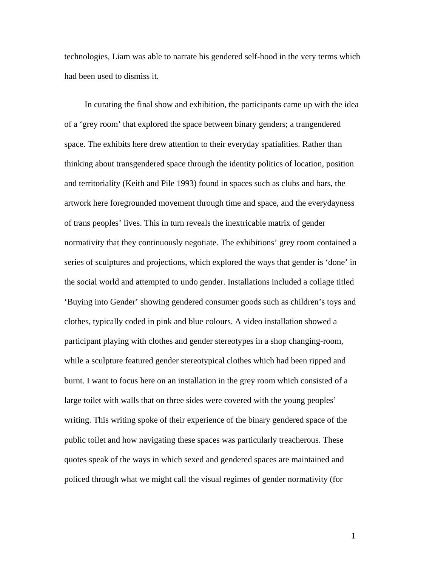technologies, Liam was able to narrate his gendered self-hood in the very terms which had been used to dismiss it.

In curating the final show and exhibition, the participants came up with the idea of a 'grey room' that explored the space between binary genders; a trangendered space. The exhibits here drew attention to their everyday spatialities. Rather than thinking about transgendered space through the identity politics of location, position and territoriality (Keith and Pile 1993) found in spaces such as clubs and bars, the artwork here foregrounded movement through time and space, and the everydayness of trans peoples' lives. This in turn reveals the inextricable matrix of gender normativity that they continuously negotiate. The exhibitions' grey room contained a series of sculptures and projections, which explored the ways that gender is 'done' in the social world and attempted to undo gender. Installations included a collage titled 'Buying into Gender' showing gendered consumer goods such as children's toys and clothes, typically coded in pink and blue colours. A video installation showed a participant playing with clothes and gender stereotypes in a shop changing-room, while a sculpture featured gender stereotypical clothes which had been ripped and burnt. I want to focus here on an installation in the grey room which consisted of a large toilet with walls that on three sides were covered with the young peoples' writing. This writing spoke of their experience of the binary gendered space of the public toilet and how navigating these spaces was particularly treacherous. These quotes speak of the ways in which sexed and gendered spaces are maintained and policed through what we might call the visual regimes of gender normativity (for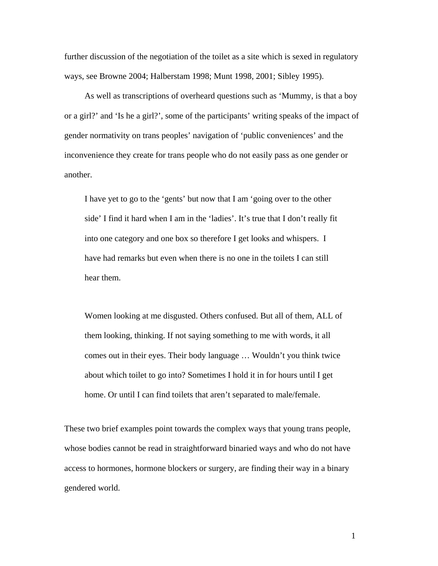further discussion of the negotiation of the toilet as a site which is sexed in regulatory ways, see Browne 2004; Halberstam 1998; Munt 1998, 2001; Sibley 1995).

As well as transcriptions of overheard questions such as 'Mummy, is that a boy or a girl?' and 'Is he a girl?', some of the participants' writing speaks of the impact of gender normativity on trans peoples' navigation of 'public conveniences' and the inconvenience they create for trans people who do not easily pass as one gender or another.

I have yet to go to the 'gents' but now that I am 'going over to the other side' I find it hard when I am in the 'ladies'. It's true that I don't really fit into one category and one box so therefore I get looks and whispers. I have had remarks but even when there is no one in the toilets I can still hear them.

Women looking at me disgusted. Others confused. But all of them, ALL of them looking, thinking. If not saying something to me with words, it all comes out in their eyes. Their body language … Wouldn't you think twice about which toilet to go into? Sometimes I hold it in for hours until I get home. Or until I can find toilets that aren't separated to male/female.

These two brief examples point towards the complex ways that young trans people, whose bodies cannot be read in straightforward binaried ways and who do not have access to hormones, hormone blockers or surgery, are finding their way in a binary gendered world.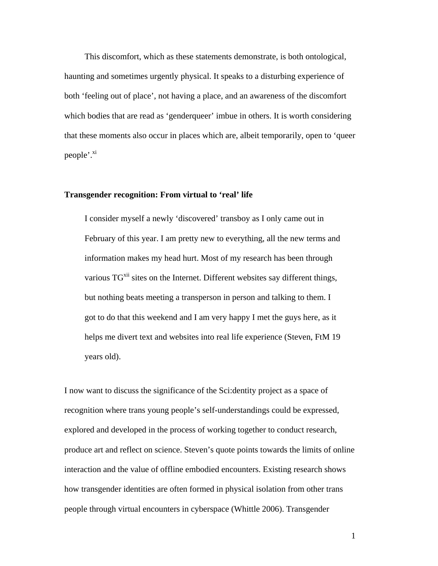This discomfort, which as these statements demonstrate, is both ontological, haunting and sometimes urgently physical. It speaks to a disturbing experience of both 'feeling out of place', not having a place, and an awareness of the discomfort which bodies that are read as 'genderqueer' imbue in others. It is worth considering that these moments also occur in places which are, albeit temporarily, open to 'queer people'. $\overset{\text{xi}}{ }$ 

## **Transgender recognition: From virtual to 'real' life**

I consider myself a newly 'discovered' transboy as I only came out in February of this year. I am pretty new to everything, all the new terms and information makes my head hurt. Most of my research has been through various TG<sup>xii</sup> sites on the Internet. Different websites say different things, but nothing beats meeting a transperson in person and talking to them. I got to do that this weekend and I am very happy I met the guys here, as it helps me divert text and websites into real life experience (Steven, FtM 19 years old).

I now want to discuss the significance of the Sci:dentity project as a space of recognition where trans young people's self-understandings could be expressed, explored and developed in the process of working together to conduct research, produce art and reflect on science. Steven's quote points towards the limits of online interaction and the value of offline embodied encounters. Existing research shows how transgender identities are often formed in physical isolation from other trans people through virtual encounters in cyberspace (Whittle 2006). Transgender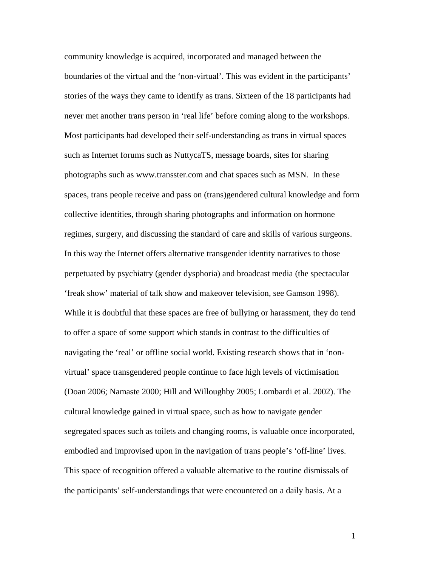community knowledge is acquired, incorporated and managed between the boundaries of the virtual and the 'non-virtual'. This was evident in the participants' stories of the ways they came to identify as trans. Sixteen of the 18 participants had never met another trans person in 'real life' before coming along to the workshops. Most participants had developed their self-understanding as trans in virtual spaces such as Internet forums such as NuttycaTS, message boards, sites for sharing photographs such as www.transster.com and chat spaces such as MSN. In these spaces, trans people receive and pass on (trans)gendered cultural knowledge and form collective identities, through sharing photographs and information on hormone regimes, surgery, and discussing the standard of care and skills of various surgeons. In this way the Internet offers alternative transgender identity narratives to those perpetuated by psychiatry (gender dysphoria) and broadcast media (the spectacular 'freak show' material of talk show and makeover television, see Gamson 1998). While it is doubtful that these spaces are free of bullying or harassment, they do tend to offer a space of some support which stands in contrast to the difficulties of navigating the 'real' or offline social world. Existing research shows that in 'nonvirtual' space transgendered people continue to face high levels of victimisation (Doan 2006; Namaste 2000; Hill and Willoughby 2005; Lombardi et al. 2002). The cultural knowledge gained in virtual space, such as how to navigate gender segregated spaces such as toilets and changing rooms, is valuable once incorporated, embodied and improvised upon in the navigation of trans people's 'off-line' lives. This space of recognition offered a valuable alternative to the routine dismissals of the participants' self-understandings that were encountered on a daily basis. At a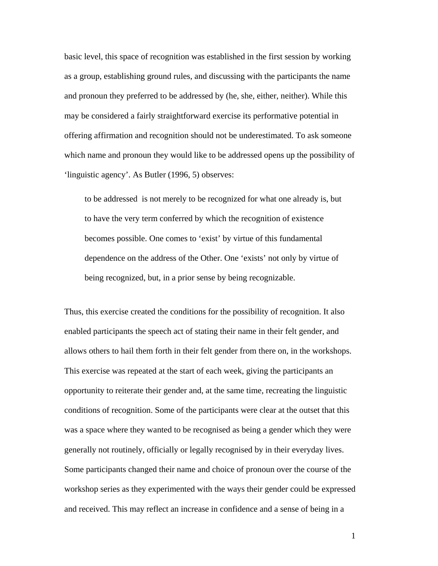basic level, this space of recognition was established in the first session by working as a group, establishing ground rules, and discussing with the participants the name and pronoun they preferred to be addressed by (he, she, either, neither). While this may be considered a fairly straightforward exercise its performative potential in offering affirmation and recognition should not be underestimated. To ask someone which name and pronoun they would like to be addressed opens up the possibility of 'linguistic agency'. As Butler (1996, 5) observes:

to be addressed is not merely to be recognized for what one already is, but to have the very term conferred by which the recognition of existence becomes possible. One comes to 'exist' by virtue of this fundamental dependence on the address of the Other. One 'exists' not only by virtue of being recognized, but, in a prior sense by being recognizable.

Thus, this exercise created the conditions for the possibility of recognition. It also enabled participants the speech act of stating their name in their felt gender, and allows others to hail them forth in their felt gender from there on, in the workshops. This exercise was repeated at the start of each week, giving the participants an opportunity to reiterate their gender and, at the same time, recreating the linguistic conditions of recognition. Some of the participants were clear at the outset that this was a space where they wanted to be recognised as being a gender which they were generally not routinely, officially or legally recognised by in their everyday lives. Some participants changed their name and choice of pronoun over the course of the workshop series as they experimented with the ways their gender could be expressed and received. This may reflect an increase in confidence and a sense of being in a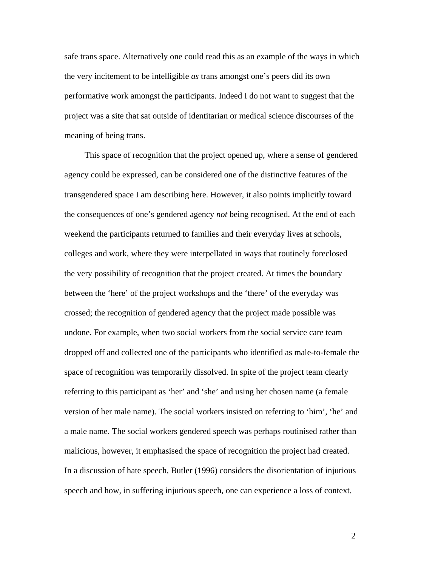safe trans space. Alternatively one could read this as an example of the ways in which the very incitement to be intelligible *as* trans amongst one's peers did its own performative work amongst the participants. Indeed I do not want to suggest that the project was a site that sat outside of identitarian or medical science discourses of the meaning of being trans.

This space of recognition that the project opened up, where a sense of gendered agency could be expressed, can be considered one of the distinctive features of the transgendered space I am describing here. However, it also points implicitly toward the consequences of one's gendered agency *not* being recognised. At the end of each weekend the participants returned to families and their everyday lives at schools, colleges and work, where they were interpellated in ways that routinely foreclosed the very possibility of recognition that the project created. At times the boundary between the 'here' of the project workshops and the 'there' of the everyday was crossed; the recognition of gendered agency that the project made possible was undone. For example, when two social workers from the social service care team dropped off and collected one of the participants who identified as male-to-female the space of recognition was temporarily dissolved. In spite of the project team clearly referring to this participant as 'her' and 'she' and using her chosen name (a female version of her male name). The social workers insisted on referring to 'him', 'he' and a male name. The social workers gendered speech was perhaps routinised rather than malicious, however, it emphasised the space of recognition the project had created. In a discussion of hate speech, Butler (1996) considers the disorientation of injurious speech and how, in suffering injurious speech, one can experience a loss of context.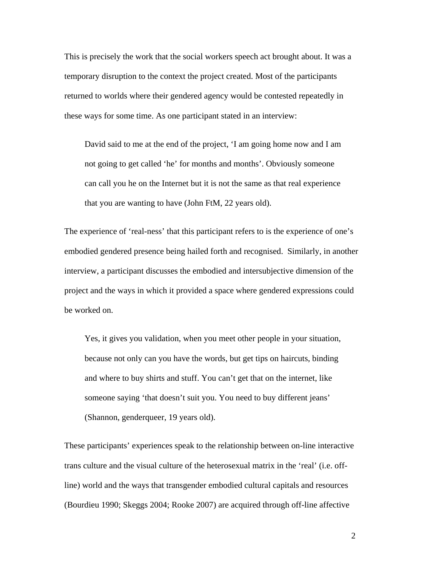This is precisely the work that the social workers speech act brought about. It was a temporary disruption to the context the project created. Most of the participants returned to worlds where their gendered agency would be contested repeatedly in these ways for some time. As one participant stated in an interview:

David said to me at the end of the project, 'I am going home now and I am not going to get called 'he' for months and months'. Obviously someone can call you he on the Internet but it is not the same as that real experience that you are wanting to have (John FtM, 22 years old).

The experience of 'real-ness' that this participant refers to is the experience of one's embodied gendered presence being hailed forth and recognised. Similarly, in another interview, a participant discusses the embodied and intersubjective dimension of the project and the ways in which it provided a space where gendered expressions could be worked on.

Yes, it gives you validation, when you meet other people in your situation, because not only can you have the words, but get tips on haircuts, binding and where to buy shirts and stuff. You can't get that on the internet, like someone saying 'that doesn't suit you. You need to buy different jeans' (Shannon, genderqueer, 19 years old).

These participants' experiences speak to the relationship between on-line interactive trans culture and the visual culture of the heterosexual matrix in the 'real' (i.e. offline) world and the ways that transgender embodied cultural capitals and resources (Bourdieu 1990; Skeggs 2004; Rooke 2007) are acquired through off-line affective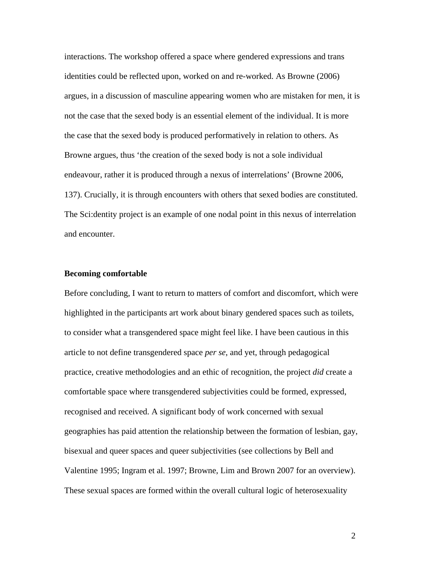interactions. The workshop offered a space where gendered expressions and trans identities could be reflected upon, worked on and re-worked. As Browne (2006) argues, in a discussion of masculine appearing women who are mistaken for men, it is not the case that the sexed body is an essential element of the individual. It is more the case that the sexed body is produced performatively in relation to others. As Browne argues, thus 'the creation of the sexed body is not a sole individual endeavour, rather it is produced through a nexus of interrelations' (Browne 2006, 137). Crucially, it is through encounters with others that sexed bodies are constituted. The Sci:dentity project is an example of one nodal point in this nexus of interrelation and encounter.

#### **Becoming comfortable**

Before concluding, I want to return to matters of comfort and discomfort, which were highlighted in the participants art work about binary gendered spaces such as toilets, to consider what a transgendered space might feel like. I have been cautious in this article to not define transgendered space *per se*, and yet, through pedagogical practice, creative methodologies and an ethic of recognition, the project *did* create a comfortable space where transgendered subjectivities could be formed, expressed, recognised and received. A significant body of work concerned with sexual geographies has paid attention the relationship between the formation of lesbian, gay, bisexual and queer spaces and queer subjectivities (see collections by Bell and Valentine 1995; Ingram et al. 1997; Browne, Lim and Brown 2007 for an overview). These sexual spaces are formed within the overall cultural logic of heterosexuality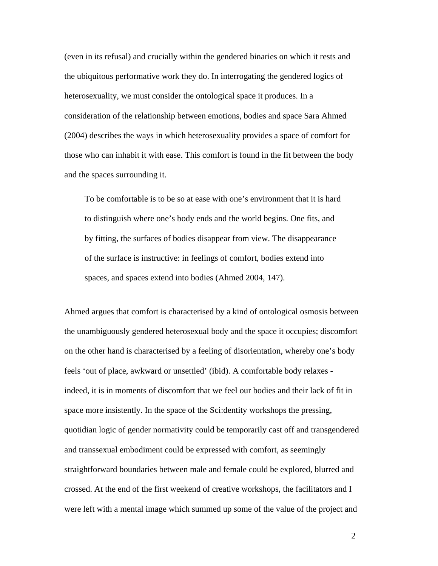(even in its refusal) and crucially within the gendered binaries on which it rests and the ubiquitous performative work they do. In interrogating the gendered logics of heterosexuality, we must consider the ontological space it produces. In a consideration of the relationship between emotions, bodies and space Sara Ahmed (2004) describes the ways in which heterosexuality provides a space of comfort for those who can inhabit it with ease. This comfort is found in the fit between the body and the spaces surrounding it.

To be comfortable is to be so at ease with one's environment that it is hard to distinguish where one's body ends and the world begins. One fits, and by fitting, the surfaces of bodies disappear from view. The disappearance of the surface is instructive: in feelings of comfort, bodies extend into spaces, and spaces extend into bodies (Ahmed 2004, 147).

Ahmed argues that comfort is characterised by a kind of ontological osmosis between the unambiguously gendered heterosexual body and the space it occupies; discomfort on the other hand is characterised by a feeling of disorientation, whereby one's body feels 'out of place, awkward or unsettled' (ibid). A comfortable body relaxes indeed, it is in moments of discomfort that we feel our bodies and their lack of fit in space more insistently. In the space of the Sci:dentity workshops the pressing, quotidian logic of gender normativity could be temporarily cast off and transgendered and transsexual embodiment could be expressed with comfort, as seemingly straightforward boundaries between male and female could be explored, blurred and crossed. At the end of the first weekend of creative workshops, the facilitators and I were left with a mental image which summed up some of the value of the project and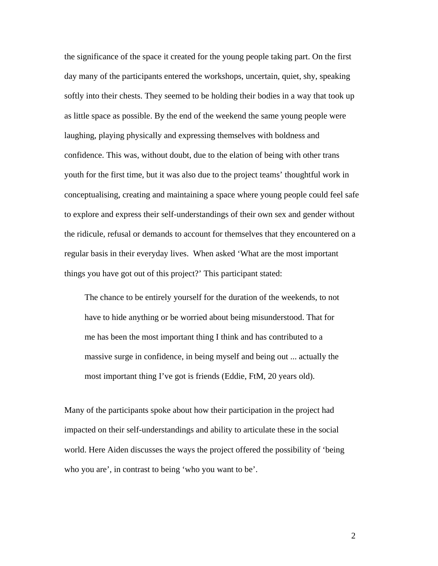the significance of the space it created for the young people taking part. On the first day many of the participants entered the workshops, uncertain, quiet, shy, speaking softly into their chests. They seemed to be holding their bodies in a way that took up as little space as possible. By the end of the weekend the same young people were laughing, playing physically and expressing themselves with boldness and confidence. This was, without doubt, due to the elation of being with other trans youth for the first time, but it was also due to the project teams' thoughtful work in conceptualising, creating and maintaining a space where young people could feel safe to explore and express their self-understandings of their own sex and gender without the ridicule, refusal or demands to account for themselves that they encountered on a regular basis in their everyday lives. When asked 'What are the most important things you have got out of this project?' This participant stated:

The chance to be entirely yourself for the duration of the weekends, to not have to hide anything or be worried about being misunderstood. That for me has been the most important thing I think and has contributed to a massive surge in confidence, in being myself and being out ... actually the most important thing I've got is friends (Eddie, FtM, 20 years old).

Many of the participants spoke about how their participation in the project had impacted on their self-understandings and ability to articulate these in the social world. Here Aiden discusses the ways the project offered the possibility of 'being who you are', in contrast to being 'who you want to be'.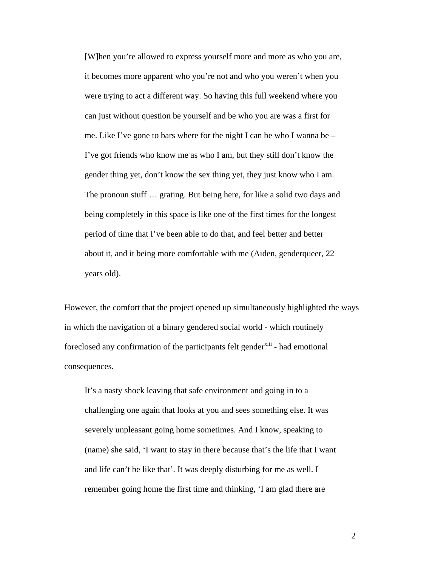[W]hen you're allowed to express yourself more and more as who you are, it becomes more apparent who you're not and who you weren't when you were trying to act a different way. So having this full weekend where you can just without question be yourself and be who you are was a first for me. Like I've gone to bars where for the night I can be who I wanna be – I've got friends who know me as who I am, but they still don't know the gender thing yet, don't know the sex thing yet, they just know who I am. The pronoun stuff … grating. But being here, for like a solid two days and being completely in this space is like one of the first times for the longest period of time that I've been able to do that, and feel better and better about it, and it being more comfortable with me (Aiden, genderqueer, 22 years old).

However, the comfort that the project opened up simultaneously highlighted the ways in which the navigation of a binary gendered social world - which routinely foreclosed any confirmation of the participants felt gender<sup>xiii</sup> - had emotional consequences.

It's a nasty shock leaving that safe environment and going in to a challenging one again that looks at you and sees something else. It was severely unpleasant going home sometimes. And I know, speaking to (name) she said, 'I want to stay in there because that's the life that I want and life can't be like that'. It was deeply disturbing for me as well. I remember going home the first time and thinking, 'I am glad there are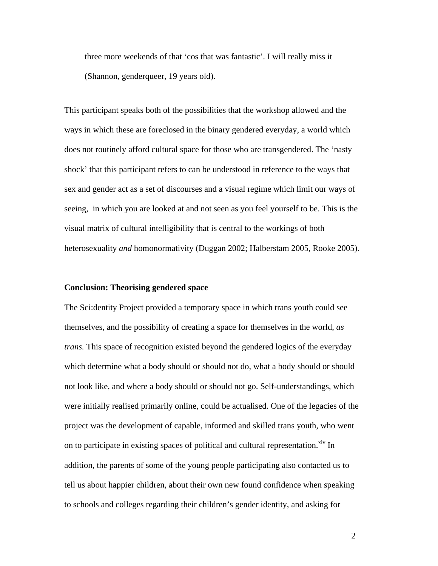three more weekends of that 'cos that was fantastic'. I will really miss it (Shannon, genderqueer, 19 years old).

This participant speaks both of the possibilities that the workshop allowed and the ways in which these are foreclosed in the binary gendered everyday, a world which does not routinely afford cultural space for those who are transgendered. The 'nasty shock' that this participant refers to can be understood in reference to the ways that sex and gender act as a set of discourses and a visual regime which limit our ways of seeing, in which you are looked at and not seen as you feel yourself to be. This is the visual matrix of cultural intelligibility that is central to the workings of both heterosexuality *and* homonormativity (Duggan 2002; Halberstam 2005, Rooke 2005).

## **Conclusion: Theorising gendered space**

The Sci:dentity Project provided a temporary space in which trans youth could see themselves, and the possibility of creating a space for themselves in the world, *as trans.* This space of recognition existed beyond the gendered logics of the everyday which determine what a body should or should not do, what a body should or should not look like, and where a body should or should not go. Self-understandings, which were initially realised primarily online, could be actualised. One of the legacies of the project was the development of capable, informed and skilled trans youth, who went on to participate in existing spaces of political and cultural representation.<sup>xiv</sup> In addition, the parents of some of the young people participating also contacted us to tell us about happier children, about their own new found confidence when speaking to schools and colleges regarding their children's gender identity, and asking for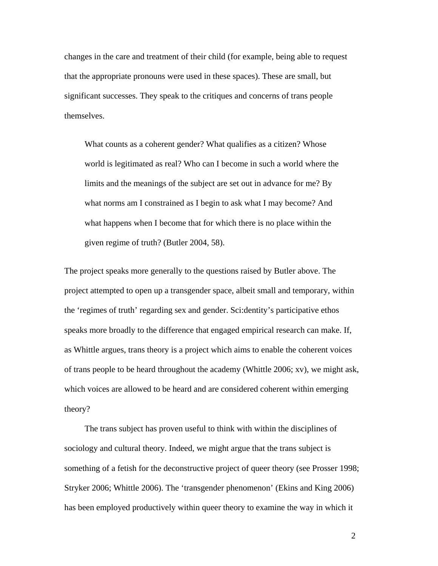changes in the care and treatment of their child (for example, being able to request that the appropriate pronouns were used in these spaces). These are small, but significant successes. They speak to the critiques and concerns of trans people themselves.

What counts as a coherent gender? What qualifies as a citizen? Whose world is legitimated as real? Who can I become in such a world where the limits and the meanings of the subject are set out in advance for me? By what norms am I constrained as I begin to ask what I may become? And what happens when I become that for which there is no place within the given regime of truth? (Butler 2004, 58).

The project speaks more generally to the questions raised by Butler above. The project attempted to open up a transgender space, albeit small and temporary, within the 'regimes of truth' regarding sex and gender. Sci:dentity's participative ethos speaks more broadly to the difference that engaged empirical research can make. If, as Whittle argues, trans theory is a project which aims to enable the coherent voices of trans people to be heard throughout the academy (Whittle 2006; xv), we might ask, which voices are allowed to be heard and are considered coherent within emerging theory?

The trans subject has proven useful to think with within the disciplines of sociology and cultural theory. Indeed, we might argue that the trans subject is something of a fetish for the deconstructive project of queer theory (see Prosser 1998; Stryker 2006; Whittle 2006). The 'transgender phenomenon' (Ekins and King 2006) has been employed productively within queer theory to examine the way in which it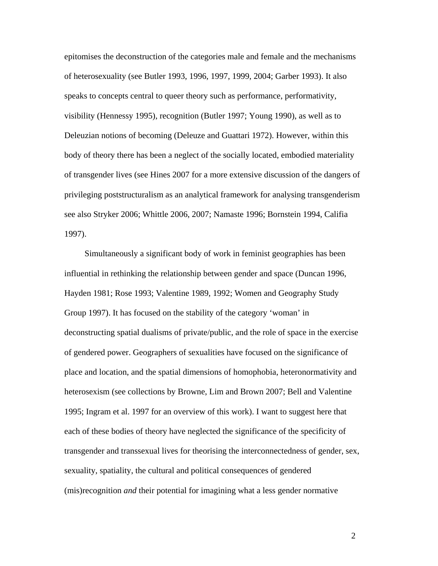epitomises the deconstruction of the categories male and female and the mechanisms of heterosexuality (see Butler 1993, 1996, 1997, 1999, 2004; Garber 1993). It also speaks to concepts central to queer theory such as performance, performativity, visibility (Hennessy 1995), recognition (Butler 1997; Young 1990), as well as to Deleuzian notions of becoming (Deleuze and Guattari 1972). However, within this body of theory there has been a neglect of the socially located, embodied materiality of transgender lives (see Hines 2007 for a more extensive discussion of the dangers of privileging poststructuralism as an analytical framework for analysing transgenderism see also Stryker 2006; Whittle 2006, 2007; Namaste 1996; Bornstein 1994, Califia 1997).

Simultaneously a significant body of work in feminist geographies has been influential in rethinking the relationship between gender and space (Duncan 1996, Hayden 1981; Rose 1993; Valentine 1989, 1992; Women and Geography Study Group 1997). It has focused on the stability of the category 'woman' in deconstructing spatial dualisms of private/public, and the role of space in the exercise of gendered power. Geographers of sexualities have focused on the significance of place and location, and the spatial dimensions of homophobia, heteronormativity and heterosexism (see collections by Browne, Lim and Brown 2007; Bell and Valentine 1995; Ingram et al. 1997 for an overview of this work). I want to suggest here that each of these bodies of theory have neglected the significance of the specificity of transgender and transsexual lives for theorising the interconnectedness of gender, sex, sexuality, spatiality, the cultural and political consequences of gendered (mis)recognition *and* their potential for imagining what a less gender normative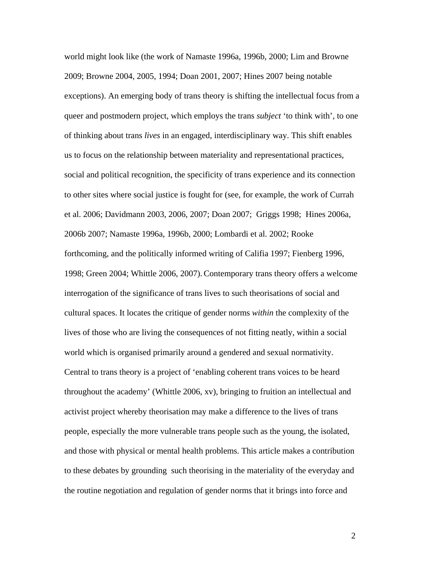world might look like (the work of Namaste 1996a, 1996b, 2000; Lim and Browne 2009; Browne 2004, 2005, 1994; Doan 2001, 2007; Hines 2007 being notable exceptions). An emerging body of trans theory is shifting the intellectual focus from a queer and postmodern project, which employs the trans *subject* 'to think with', to one of thinking about trans *lives* in an engaged, interdisciplinary way. This shift enables us to focus on the relationship between materiality and representational practices, social and political recognition, the specificity of trans experience and its connection to other sites where social justice is fought for (see, for example, the work of Currah et al. 2006; Davidmann 2003, 2006, 2007; Doan 2007; Griggs 1998; Hines 2006a, 2006b 2007; Namaste 1996a, 1996b, 2000; Lombardi et al. 2002; Rooke forthcoming, and the politically informed writing of Califia 1997; Fienberg 1996, 1998; Green 2004; Whittle 2006, 2007).Contemporary trans theory offers a welcome interrogation of the significance of trans lives to such theorisations of social and cultural spaces. It locates the critique of gender norms *within* the complexity of the lives of those who are living the consequences of not fitting neatly, within a social world which is organised primarily around a gendered and sexual normativity. Central to trans theory is a project of 'enabling coherent trans voices to be heard throughout the academy' (Whittle 2006, xv), bringing to fruition an intellectual and activist project whereby theorisation may make a difference to the lives of trans people, especially the more vulnerable trans people such as the young, the isolated, and those with physical or mental health problems. This article makes a contribution to these debates by grounding such theorising in the materiality of the everyday and the routine negotiation and regulation of gender norms that it brings into force and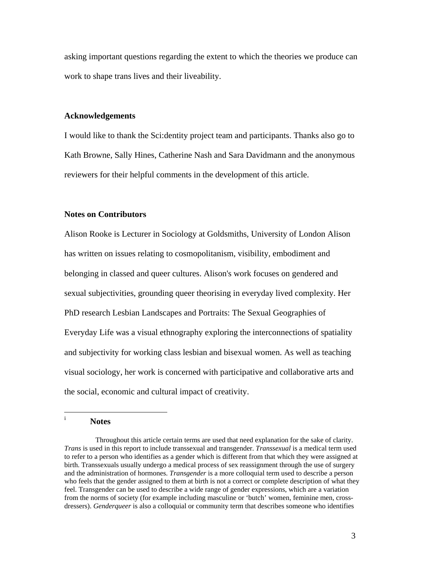asking important questions regarding the extent to which the theories we produce can work to shape trans lives and their liveability.

#### **Acknowledgements**

I would like to thank the Sci:dentity project team and participants. Thanks also go to Kath Browne, Sally Hines, Catherine Nash and Sara Davidmann and the anonymous reviewers for their helpful comments in the development of this article.

## **Notes on Contributors**

Alison Rooke is Lecturer in Sociology at Goldsmiths, University of London Alison has written on issues relating to cosmopolitanism, visibility, embodiment and belonging in classed and queer cultures. Alison's work focuses on gendered and sexual subjectivities, grounding queer theorising in everyday lived complexity. Her PhD research Lesbian Landscapes and Portraits: The Sexual Geographies of Everyday Life was a visual ethnography exploring the interconnections of spatiality and subjectivity for working class lesbian and bisexual women. As well as teaching visual sociology, her work is concerned with participative and collaborative arts and the social, economic and cultural impact of creativity.

#### **Notes**

i

Throughout this article certain terms are used that need explanation for the sake of clarity. *Trans* is used in this report to include transsexual and transgender. *Transsexual* is a medical term used to refer to a person who identifies as a gender which is different from that which they were assigned at birth. Transsexuals usually undergo a medical process of sex reassignment through the use of surgery and the administration of hormones. *Transgender* is a more colloquial term used to describe a person who feels that the gender assigned to them at birth is not a correct or complete description of what they feel. Transgender can be used to describe a wide range of gender expressions, which are a variation from the norms of society (for example including masculine or 'butch' women, feminine men, crossdressers). *Genderqueer* is also a colloquial or community term that describes someone who identifies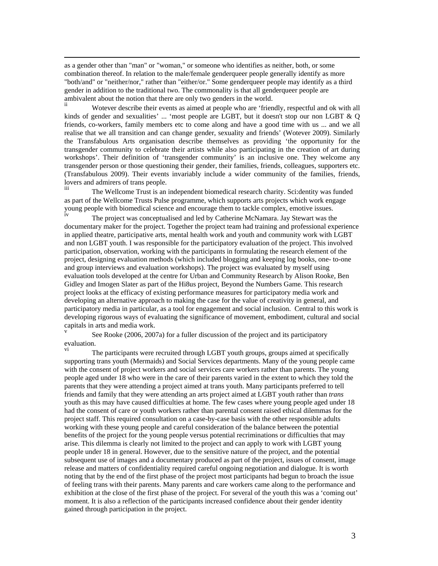as a gender other than "man" or "woman," or someone who identifies as neither, both, or some combination thereof. In relation to the male/female genderqueer people generally identify as more "both/and" or "neither/nor," rather than "either/or." Some genderqueer people may identify as a third gender in addition to the traditional two. The commonality is that all genderqueer people are ambivalent about the notion that there are only two genders in the world.

 $\overline{a}$ 

Wotever describe their events as aimed at people who are 'friendly, respectful and ok with all kinds of gender and sexualities' ... 'most people are LGBT, but it doesn't stop our non LGBT & Q friends, co-workers, family members etc to come along and have a good time with us ... and we all realise that we all transition and can change gender, sexuality and friends' (Wotever 2009). Similarly the Transfabulous Arts organisation describe themselves as providing 'the opportunity for the transgender community to celebrate their artists while also participating in the creation of art during workshops'. Their definition of 'transgender community' is an inclusive one. They welcome any transgender person or those questioning their gender, their families, friends, colleagues, supporters etc. (Transfabulous 2009). Their events invariably include a wider community of the families, friends, lovers and admirers of trans people.<br>iii

The Wellcome Trust is an independent biomedical research charity. Sci:dentity was funded as part of the Wellcome Trusts Pulse programme, which supports arts projects which work engage young people with biomedical science and encourage them to tackle complex, emotive issues.

The project was conceptualised and led by Catherine McNamara. Jay Stewart was the documentary maker for the project. Together the project team had training and professional experience in applied theatre, participative arts, mental health work and youth and community work with LGBT and non LGBT youth. I was responsible for the participatory evaluation of the project. This involved participation, observation, working with the participants in formulating the research element of the project, designing evaluation methods (which included blogging and keeping log books, one- to-one and group interviews and evaluation workshops). The project was evaluated by myself using evaluation tools developed at the centre for Urban and Community Research by Alison Rooke, Ben Gidley and Imogen Slater as part of the Hi8us project, Beyond the Numbers Game. This research project looks at the efficacy of existing performance measures for participatory media work and developing an alternative approach to making the case for the value of creativity in general, and participatory media in particular, as a tool for engagement and social inclusion. Central to this work is developing rigorous ways of evaluating the significance of movement, embodiment, cultural and social capitals in arts and media work.

v See Rooke (2006, 2007a) for a fuller discussion of the project and its participatory evaluation.

The participants were recruited through LGBT youth groups, groups aimed at specifically supporting trans youth (Mermaids) and Social Services departments. Many of the young people came with the consent of project workers and social services care workers rather than parents. The young people aged under 18 who were in the care of their parents varied in the extent to which they told the parents that they were attending a project aimed at trans youth. Many participants preferred to tell friends and family that they were attending an arts project aimed at LGBT youth rather than *trans* youth as this may have caused difficulties at home. The few cases where young people aged under 18 had the consent of care or youth workers rather than parental consent raised ethical dilemmas for the project staff. This required consultation on a case-by-case basis with the other responsible adults working with these young people and careful consideration of the balance between the potential benefits of the project for the young people versus potential recriminations or difficulties that may arise. This dilemma is clearly not limited to the project and can apply to work with LGBT young people under 18 in general. However, due to the sensitive nature of the project, and the potential subsequent use of images and a documentary produced as part of the project, issues of consent, image release and matters of confidentiality required careful ongoing negotiation and dialogue. It is worth noting that by the end of the first phase of the project most participants had begun to broach the issue of feeling trans with their parents. Many parents and care workers came along to the performance and exhibition at the close of the first phase of the project. For several of the youth this was a 'coming out' moment. It is also a reflection of the participants increased confidence about their gender identity gained through participation in the project.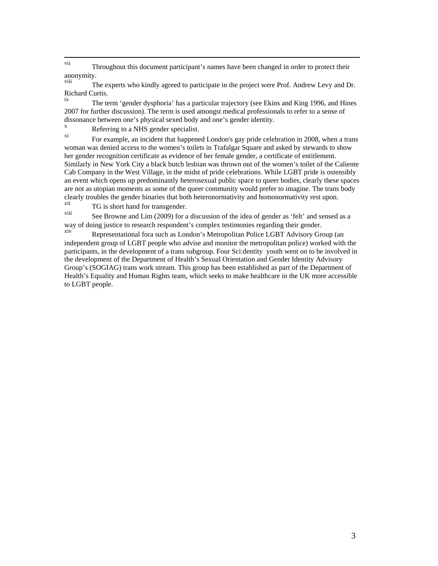vii Throughout this document participant's names have been changed in order to protect their anonymity.

The experts who kindly agreed to participate in the project were Prof. Andrew Levy and Dr. Richard Curtis.

The term 'gender dysphoria' has a particular trajectory (see Ekins and King 1996, and Hines 2007 for further discussion). The term is used amongst medical professionals to refer to a sense of dissonance between one's physical sexed body and one's gender identity.

x  $R_{\text{right}}$  Referring to a NHS gender specialist.

For example, an incident that happened London's gay pride celebration in 2008, when a trans woman was denied access to the women's toilets in Trafalgar Square and asked by stewards to show her gender recognition certificate as evidence of her female gender, a certificate of entitlement. Similarly in New York City a black butch lesbian was thrown out of the women's toilet of the Caliente Cab Company in the West Village, in the midst of pride celebrations. While LGBT pride is ostensibly an event which opens up predominantly heterosexual public space to queer bodies, clearly these spaces are not as utopian moments as some of the queer community would prefer to imagine. The trans body clearly troubles the gender binaries that both heteronormativity and homonormativity rest upon.

 $\frac{x^{11}}{x^{11}}$  TG is short hand for transgender.

See Browne and Lim (2009) for a discussion of the idea of gender as 'felt' and sensed as a way of doing justice to research respondent's complex testimonies regarding their gender.

xiv Representational fora such as London's Metropolitan Police LGBT Advisory Group (an independent group of LGBT people who advise and monitor the metropolitan police) worked with the participants, in the development of a trans subgroup. Four Sci:dentity youth went on to be involved in the development of the Department of Health's Sexual Orientation and Gender Identity Advisory Group's (SOGIAG) trans work stream. This group has been established as part of the Department of Health's Equality and Human Rights team, which seeks to make healthcare in the UK more accessible to LGBT people.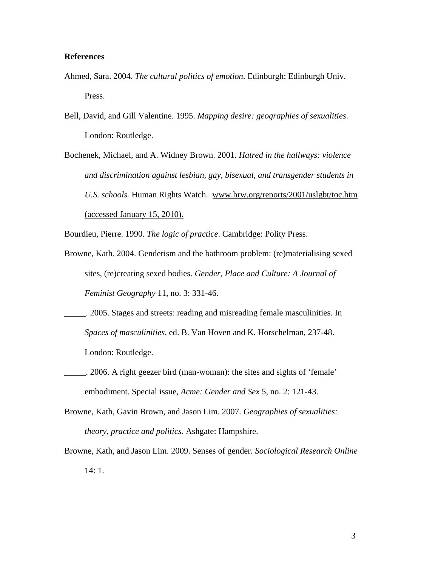## **References**

- Ahmed, Sara. 2004. *The cultural politics of emotion*. Edinburgh: Edinburgh Univ. Press.
- Bell, David, and Gill Valentine. 1995. *Mapping desire: geographies of sexualities*. London: Routledge.
- Bochenek, Michael, and A. Widney Brown. 2001. *Hatred in the hallways: violence and discrimination against lesbian, gay, bisexual, and transgender students in U.S. schools.* Human Rights Watch. www.hrw.org/reports/2001/uslgbt/toc.htm (accessed January 15, 2010).

Bourdieu, Pierre. 1990. *The logic of practice*. Cambridge: Polity Press.

- Browne, Kath. 2004. Genderism and the bathroom problem: (re)materialising sexed sites, (re)creating sexed bodies. *Gender, Place and Culture: A Journal of Feminist Geography* 11, no. 3: 331-46.
- \_\_\_\_\_. 2005. Stages and streets: reading and misreading female masculinities. In *Spaces of masculinities,* ed. B. Van Hoven and K. Horschelman, 237-48. London: Routledge.
- \_\_\_\_\_. 2006. A right geezer bird (man-woman): the sites and sights of 'female' embodiment*.* Special issue, *Acme: Gender and Sex* 5, no. 2: 121-43.
- Browne, Kath, Gavin Brown, and Jason Lim. 2007. *Geographies of sexualities: theory, practice and politics*. Ashgate: Hampshire.
- Browne, Kath, and Jason Lim. 2009. Senses of gender*. Sociological Research Online* 14: 1.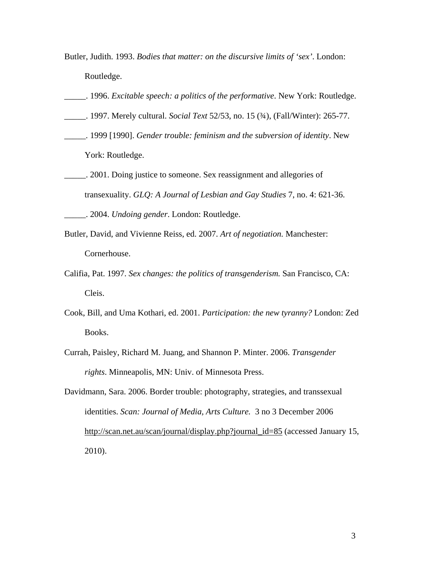- Butler, Judith. 1993. *Bodies that matter: on the discursive limits of 'sex'*. London: Routledge.
- \_\_\_\_\_. 1996. *Excitable speech: a politics of the performative*. New York: Routledge.
- \_\_\_\_\_. 1997. Merely cultural. *Social Text* 52/53, no. 15 (¾), (Fall/Winter): 265-77.
- \_\_\_\_\_. 1999 [1990]. *Gender trouble: feminism and the subversion of identity*. New York: Routledge.
- \_\_\_\_\_. 2001. Doing justice to someone. Sex reassignment and allegories of transexuality. *GLQ: A Journal of Lesbian and Gay Studies* 7, no. 4: 621-36. \_\_\_\_\_. 2004. *Undoing gender*. London: Routledge.
- Butler, David, and Vivienne Reiss, ed. 2007. *Art of negotiation.* Manchester: Cornerhouse.
- Califia, Pat. 1997. *Sex changes: the politics of transgenderism.* San Francisco, CA: Cleis.
- Cook, Bill, and Uma Kothari, ed. 2001. *Participation: the new tyranny?* London: Zed Books.
- Currah, Paisley, Richard M. Juang, and Shannon P. Minter. 2006. *Transgender rights*. Minneapolis, MN: Univ. of Minnesota Press.
- Davidmann, Sara. 2006. Border trouble: photography, strategies, and transsexual identities. *Scan: Journal of Media, Arts Culture.* 3 no 3 December 2006 http://scan.net.au/scan/journal/display.php?journal\_id=85 (accessed January 15, 2010).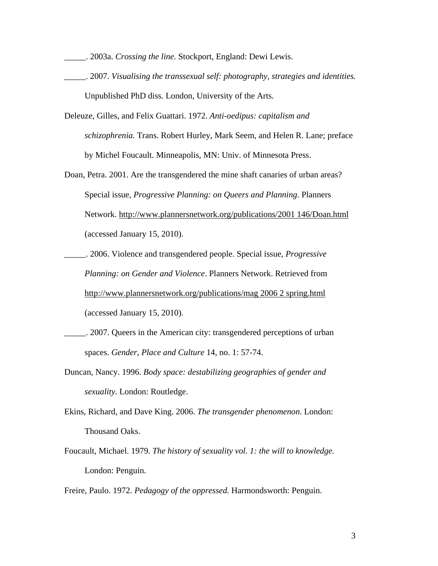\_\_\_\_\_. 2003a. *Crossing the line.* Stockport, England: Dewi Lewis.

- \_\_\_\_\_. 2007. *Visualising the transsexual self: photography, strategies and identities.* Unpublished PhD diss. London, University of the Arts.
- Deleuze, Gilles, and Felix Guattari. 1972. *Anti-oedipus: capitalism and schizophrenia.* Trans. Robert Hurley, Mark Seem, and Helen R. Lane; preface by Michel Foucault. Minneapolis, MN: Univ. of Minnesota Press.
- Doan, Petra. 2001. Are the transgendered the mine shaft canaries of urban areas? Special issue, *Progressive Planning: on Queers and Planning*. Planners Network. http://www.plannersnetwork.org/publications/2001 146/Doan.html (accessed January 15, 2010).
- \_\_\_\_\_. 2006. Violence and transgendered people. Special issue, *Progressive Planning: on Gender and Violence*. Planners Network. Retrieved from http://www.plannersnetwork.org/publications/mag 2006 2 spring.html (accessed January 15, 2010).
- \_\_\_\_\_. 2007. Queers in the American city: transgendered perceptions of urban spaces. *Gender, Place and Culture* 14, no. 1: 57-74.
- Duncan, Nancy. 1996. *Body space: destabilizing geographies of gender and sexuality.* London: Routledge.
- Ekins, Richard, and Dave King. 2006. *The transgender phenomenon*. London: Thousand Oaks.
- Foucault, Michael. 1979. *The history of sexuality vol. 1: the will to knowledge.* London: Penguin.

Freire, Paulo. 1972. *Pedagogy of the oppressed.* Harmondsworth: Penguin.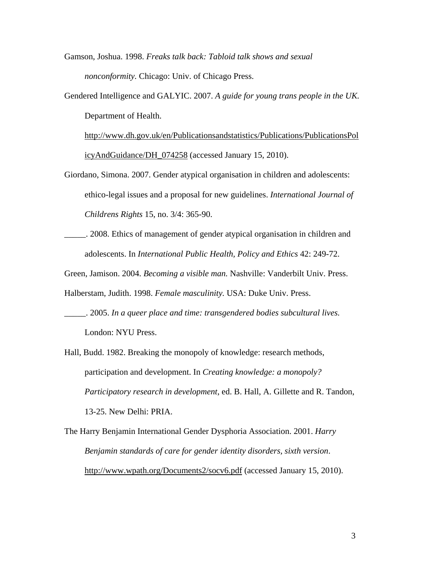Gamson, Joshua. 1998. *Freaks talk back: Tabloid talk shows and sexual nonconformity.* Chicago: Univ. of Chicago Press.

Gendered Intelligence and GALYIC. 2007. *A guide for young trans people in the UK.* Department of Health.

http://www.dh.gov.uk/en/Publicationsandstatistics/Publications/PublicationsPol icyAndGuidance/DH\_074258 (accessed January 15, 2010).

- Giordano, Simona. 2007. Gender atypical organisation in children and adolescents: ethico-legal issues and a proposal for new guidelines. *International Journal of Childrens Rights* 15, no. 3/4: 365-90.
- \_\_\_\_\_. 2008. Ethics of management of gender atypical organisation in children and adolescents. In *International Public Health, Policy and Ethics* 42: 249-72.

Green, Jamison. 2004. *Becoming a visible man.* Nashville: Vanderbilt Univ. Press.

Halberstam, Judith. 1998. *Female masculinity.* USA: Duke Univ. Press.

- \_\_\_\_\_. 2005. *In a queer place and time: transgendered bodies subcultural lives.* London: NYU Press.
- Hall, Budd. 1982. Breaking the monopoly of knowledge: research methods, participation and development. In *Creating knowledge: a monopoly? Participatory research in development*, ed. B. Hall, A. Gillette and R. Tandon, 13-25. New Delhi: PRIA.
- The Harry Benjamin International Gender Dysphoria Association. 2001. *Harry Benjamin standards of care for gender identity disorders, sixth version*. http://www.wpath.org/Documents2/socv6.pdf (accessed January 15, 2010).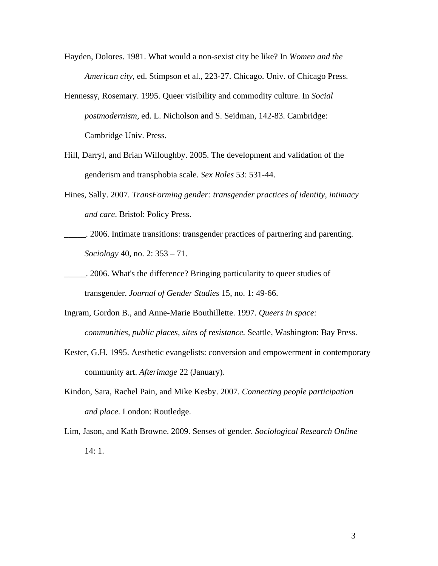- Hayden, Dolores. 1981. What would a non-sexist city be like? In *Women and the American city,* ed. Stimpson et al*.*, 223-27. Chicago. Univ. of Chicago Press.
- Hennessy, Rosemary. 1995. Queer visibility and commodity culture. In *Social postmodernism,* ed. L. Nicholson and S. Seidman, 142-83. Cambridge: Cambridge Univ. Press.
- Hill, Darryl, and Brian Willoughby. 2005. The development and validation of the genderism and transphobia scale. *Sex Roles* 53: 531-44.
- Hines, Sally. 2007. *TransForming gender: transgender practices of identity, intimacy and care*. Bristol: Policy Press.
- \_\_\_\_\_. 2006. Intimate transitions: transgender practices of partnering and parenting. *Sociology* 40, no. 2: 353 – 71.
- \_\_\_\_\_. 2006. What's the difference? Bringing particularity to queer studies of transgender. *Journal of Gender Studies* 15, no. 1: 49-66.
- Ingram, Gordon B., and Anne-Marie Bouthillette. 1997. *Queers in space: communities, public places, sites of resistance.* Seattle, Washington: Bay Press.
- Kester, G.H. 1995. Aesthetic evangelists: conversion and empowerment in contemporary community art. *Afterimage* 22 (January).
- Kindon, Sara, Rachel Pain, and Mike Kesby. 2007. *Connecting people participation and place.* London: Routledge.
- Lim, Jason, and Kath Browne. 2009. Senses of gender. *Sociological Research Online* 14: 1.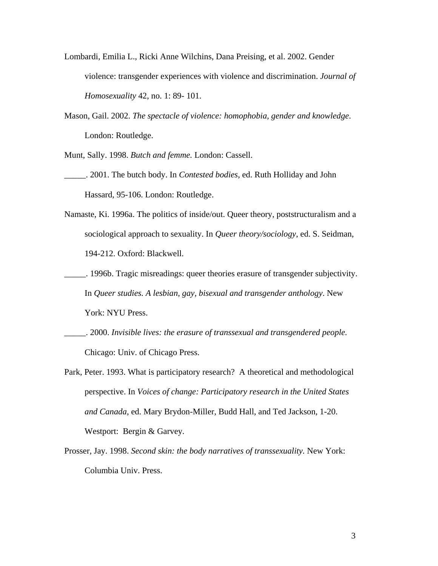- Lombardi, Emilia L., Ricki Anne Wilchins, Dana Preising, et al. 2002. Gender violence: transgender experiences with violence and discrimination. *Journal of Homosexuality* 42, no. 1: 89- 101.
- Mason, Gail. 2002. *The spectacle of violence: homophobia, gender and knowledge*. London: Routledge.

Munt, Sally. 1998. *Butch and femme.* London: Cassell.

- \_\_\_\_\_. 2001. The butch body. In *Contested bodies,* ed. Ruth Holliday and John Hassard, 95-106. London: Routledge.
- Namaste, Ki. 1996a. The politics of inside/out. Queer theory, poststructuralism and a sociological approach to sexuality. In *Queer theory/sociology*, ed. S. Seidman, 194-212. Oxford: Blackwell.
- \_\_\_\_\_. 1996b. Tragic misreadings: queer theories erasure of transgender subjectivity. In *Queer studies. A lesbian, gay, bisexual and transgender anthology*. New York: NYU Press.
- \_\_\_\_\_. 2000. *Invisible lives: the erasure of transsexual and transgendered people.*  Chicago: Univ. of Chicago Press.
- Park, Peter. 1993. What is participatory research? A theoretical and methodological perspective. In *Voices of change: Participatory research in the United States and Canada,* ed. Mary Brydon-Miller, Budd Hall, and Ted Jackson, 1-20. Westport: Bergin & Garvey.
- Prosser, Jay. 1998. *Second skin: the body narratives of transsexuality.* New York: Columbia Univ. Press.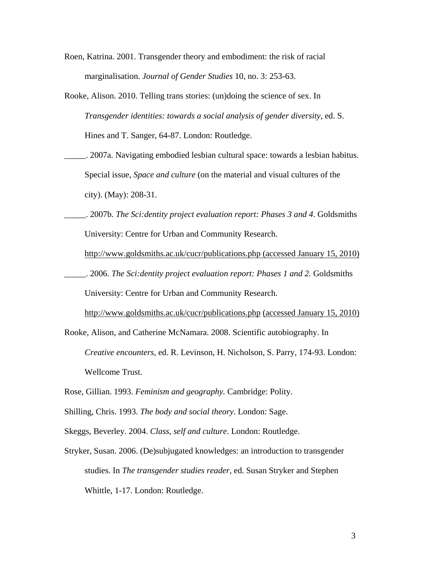- Roen, Katrina. 2001. Transgender theory and embodiment: the risk of racial marginalisation. *Journal of Gender Studies* 10, no. 3: 253-63.
- Rooke, Alison. 2010. Telling trans stories: (un)doing the science of sex. In *Transgender identities: towards a social analysis of gender diversity*, ed. S. Hines and T. Sanger, 64-87. London: Routledge.
- \_\_\_\_\_. 2007a. Navigating embodied lesbian cultural space: towards a lesbian habitus. Special issue, *Space and culture* (on the material and visual cultures of the city). (May): 208-31.
- \_\_\_\_\_. 2007b. *The Sci:dentity project evaluation report: Phases 3 and 4*. Goldsmiths University: Centre for Urban and Community Research.

http://www.goldsmiths.ac.uk/cucr/publications.php (accessed January 15, 2010)

\_\_\_\_\_. 2006. *The Sci:dentity project evaluation report: Phases 1 and 2.* Goldsmiths University: Centre for Urban and Community Research.

http://www.goldsmiths.ac.uk/cucr/publications.php (accessed January 15, 2010)

Rooke, Alison, and Catherine McNamara. 2008. Scientific autobiography. In *Creative encounters,* ed. R. Levinson, H. Nicholson, S. Parry, 174-93. London: Wellcome Trust.

- Shilling, Chris. 1993. *The body and social theory*. London: Sage.
- Skeggs, Beverley. 2004. *Class, self and culture.* London: Routledge.
- Stryker, Susan. 2006. (De)subjugated knowledges: an introduction to transgender studies. In *The transgender studies reader*, ed. Susan Stryker and Stephen Whittle, 1-17. London: Routledge.

Rose, Gillian. 1993. *Feminism and geography.* Cambridge: Polity.